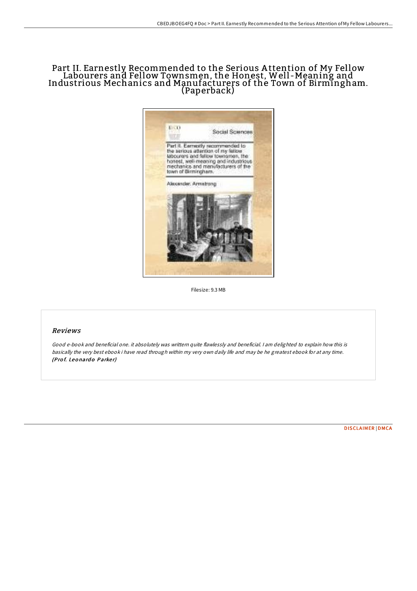# Part II. Earnestly Recommended to the Serious A ttention of My Fellow Labourers and Fellow Townsmen, the Honest, Well -Meaning and Industrious Mechanics and Manufacturers of the Town of Birmingham. (Paperback)



Filesize: 9.3 MB

## Reviews

Good e-book and beneficial one. it absolutely was writtern quite flawlessly and beneficial. <sup>I</sup> am delighted to explain how this is basically the very best ebook i have read through within my very own daily life and may be he greatest ebook for at any time. (Prof. Leonardo Parker)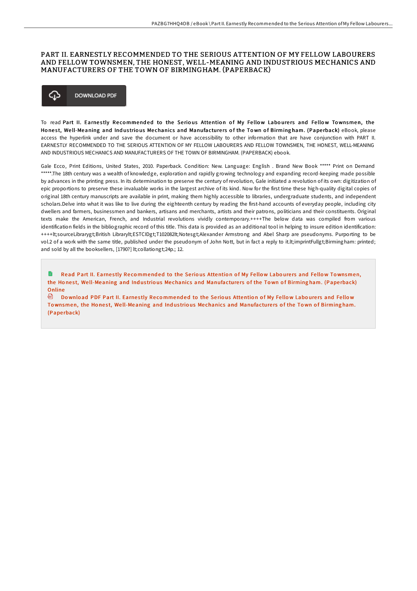## PART II. EARNESTLY RECOMMENDED TO THE SERIOUS ATTENTION OF MY FELLOW LABOURERS AND FELLOW TOWNSMEN, THE HONEST, WELL-MEANING AND INDUSTRIOUS MECHANICS AND MANUFACTURERS OF THE TOWN OF BIRMINGHAM. (PAPERBACK)



To read Part II. Earnestly Recommended to the Serious Attention of My Fellow Labourers and Fellow Townsmen, the Honest, Well-Meaning and Industrious Mechanics and Manufacturers of the Town of Birmingham. (Paperback) eBook, please access the hyperlink under and save the document or have accessibility to other information that are have conjunction with PART II. EARNESTLY RECOMMENDED TO THE SERIOUS ATTENTION OF MY FELLOW LABOURERS AND FELLOW TOWNSMEN, THE HONEST, WELL-MEANING AND INDUSTRIOUS MECHANICS AND MANUFACTURERS OF THE TOWN OF BIRMINGHAM. (PAPERBACK) ebook.

Gale Ecco, Print Editions, United States, 2010. Paperback. Condition: New. Language: English . Brand New Book \*\*\*\*\* Print on Demand \*\*\*\*\*.The 18th century was a wealth of knowledge, exploration and rapidly growing technology and expanding record-keeping made possible by advances in the printing press. In its determination to preserve the century of revolution, Gale initiated a revolution of its own: digitization of epic proportions to preserve these invaluable works in the largest archive of its kind. Now for the first time these high-quality digital copies of original 18th century manuscripts are available in print, making them highly accessible to libraries, undergraduate students, and independent scholars.Delve into what it was like to live during the eighteenth century by reading the first-hand accounts of everyday people, including city dwellers and farmers, businessmen and bankers, artisans and merchants, artists and their patrons, politicians and their constituents. Original texts make the American, French, and Industrial revolutions vividly contemporary.++++The below data was compiled from various identification fields in the bibliographic record of this title. This data is provided as an additional tool in helping to insure edition identification: ++++lt;sourceLibrarygt;British Librarylt;ESTCIDgt;T102082lt;Notesgt;Alexander Armstrong and Abel Sharp are pseudonyms. Purporting to be vol.2 of a work with the same title, published under the pseudonym of John Nott, but in fact a reply to it.lt;imprintFullgt;Birmingham: printed; and sold by all the booksellers, [1790?] lt;collationgt;24p.; 12.

Read Part II. Earnestly Recommended to the Serious Attention of My Fellow Labourers and Fellow Townsmen, the Honest, Well-Meaning and Industrious Mechanics and [Manufacture](http://almighty24.tech/part-ii-earnestly-recommended-to-the-serious-att.html)rs of the Town of Birming ham. (Paperback) Online

⊕ Download PDF Part II. Earnestly Recommended to the Serious Attention of My Fellow Labourers and Fellow Townsmen, the Honest, Well-Meaning and Industrious Mechanics and [Manufacture](http://almighty24.tech/part-ii-earnestly-recommended-to-the-serious-att.html)rs of the Town of Birming ham. (Pape rback)